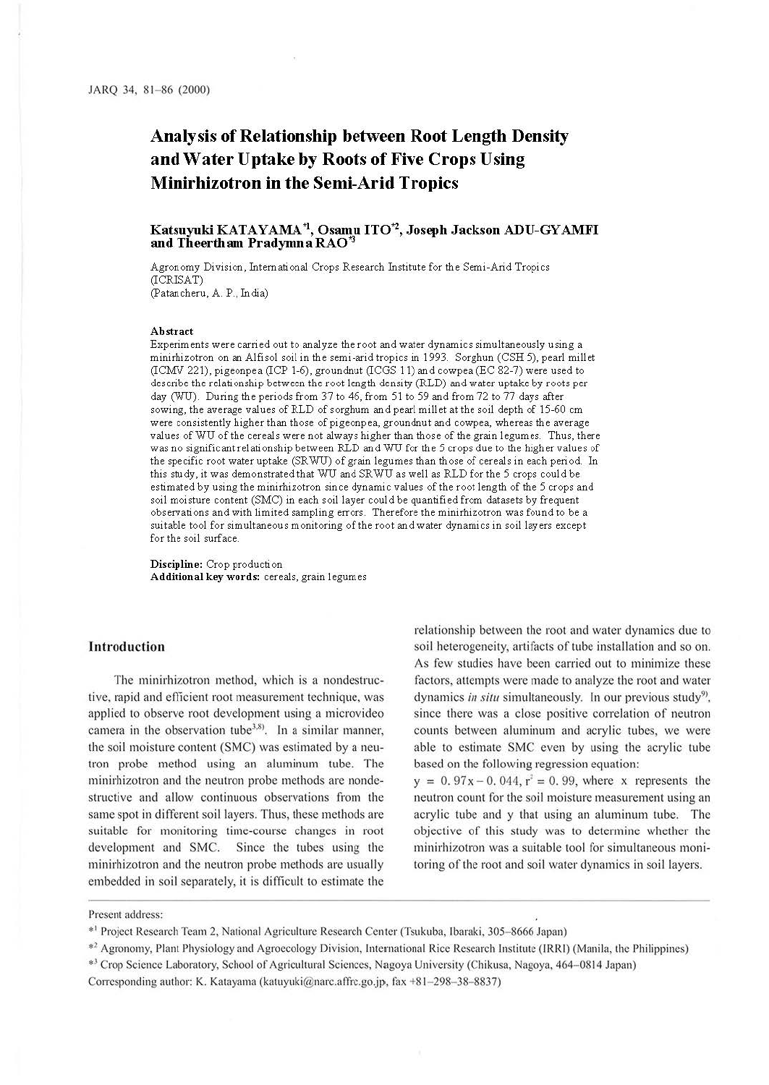# **Analysis of Relationship between Root Length Density and Water Uptake by Roots of Five Crops Using Minirhizotron in the Semi-Arid Tropics**

#### **Katsuyuki KATAYAMA \*1, Osamu IT0\*2, Joseph Jackson ADU-GY AMFI**  and Theertham Pradymna RAO<sup>\*</sup>

Agronomy Division, International Crops Research Institute for the Semi-Arid Tropics (ICRISAT) (Patancheru, A. P., India)

#### **Abstract**

Experiments were carried out to analyze the root and water dynamics simultaneously using a minirhizotron on an Alfisol soil in the semi-arid tropics in 1993. Sorghun (CSH 5), pearl millet (ICMV 221), pigeonpea (ICP 1-6), groundnut (ICGS 11) and cowpea (EC 82-7) were used to describe the relationship between the root length density (RLD) and water uptake by roots per day (WU). During the periods from 37 to 46, from 51 to 59 and from 72 to 77 days after sowing, the average values of RLD of sorghum and pearl mill et at the soil depth of 15-60 cm were consistently higher than those of pigeonpea, groundnut and cowpea, whereas the average values of WU of the cereals were not always higher than those of the grain legumes. Thus, there was no significant relationship between RLD and WU for the 5 crops due to the higher values of the specific root water uptake (SRWU) of grain legumes than those of cereals in each period. In this study, it was demonstrated that WU and SRWU as well as RLD for the 5 crops could be estimated by using the minirhizotron since dynamic values of the root length of the 5 crops and soil moisture content (SMC) in each soil layer could be quantified from datasets by frequent observations and with limited sampling errors. Therefore the minirhizotron was found to be a suitable tool for simultaneous monitoring of the root and water dynamics in soil layers except for the soil surface.

**Discipline:** Crop production Additional key words: cereals, grain legumes

### **Introduction**

The minirhizotron method, which is a nondestructive, rapid and eflicient root measurement technique, was applied to observe root development using a microvideo camera in the observation tube<sup>3,8)</sup>. In a similar manner, the soil moisture content (SMC) was estimated by a neutron probe method using an aluminum tube. The minirhizotron and the neutron probe methods are nondestructive and allow continuous observations from the same spot in different soil layers. Thus, these methods are suitable for monitoring time-course changes in root development and SMC. Since the tubes using the minirhizotron and the neutron probe methods are usually embedded in soil separately, it is difficult to estimate the

relationship between the root and water dynamics due to soil heterogeneity, artifacts of tube installation and so on. As few studies have been carried out to minimize these factors, attempts were made to analyze the root and water dynamics in situ simultaneously. In our previous study<sup>9</sup>, since there was a close positive correlation of neutron counts between aluminum and acrylic tubes, we were able to estimate SMC even by using the acrylic tube based on the following regression equation:

 $y = 0.97x - 0.044$ ,  $r^2 = 0.99$ , where x represents the neutron count for the soil moisture measurement using an acrylic tube and y that using an aluminum tube. The objective of this study was to determine whether the minirhizotron was a suitable tool for simultaneous monitoring of the root and soil water dynamics in soil layers.

\*<sup>3</sup> Crop Science Laboratory, School of Agricultural Sciences, Nagoya University (Chikusa, Nagoya, 464-0814 Japan)

Corresponding author: K. Katayama (katuyuki@narc.affrc.go.jp, fax +81-298-38-8837)

Present address:

<sup>• 1</sup> Project Research Team 2, National Agriculture Research Center (Tsukuba, lbaraki, 305- 8666 Japan)

<sup>•</sup> 2 Agronomy, Plant Physiology and Agroecology Division, International Rice Research Institute (IRRI) (Manila, the Philippines)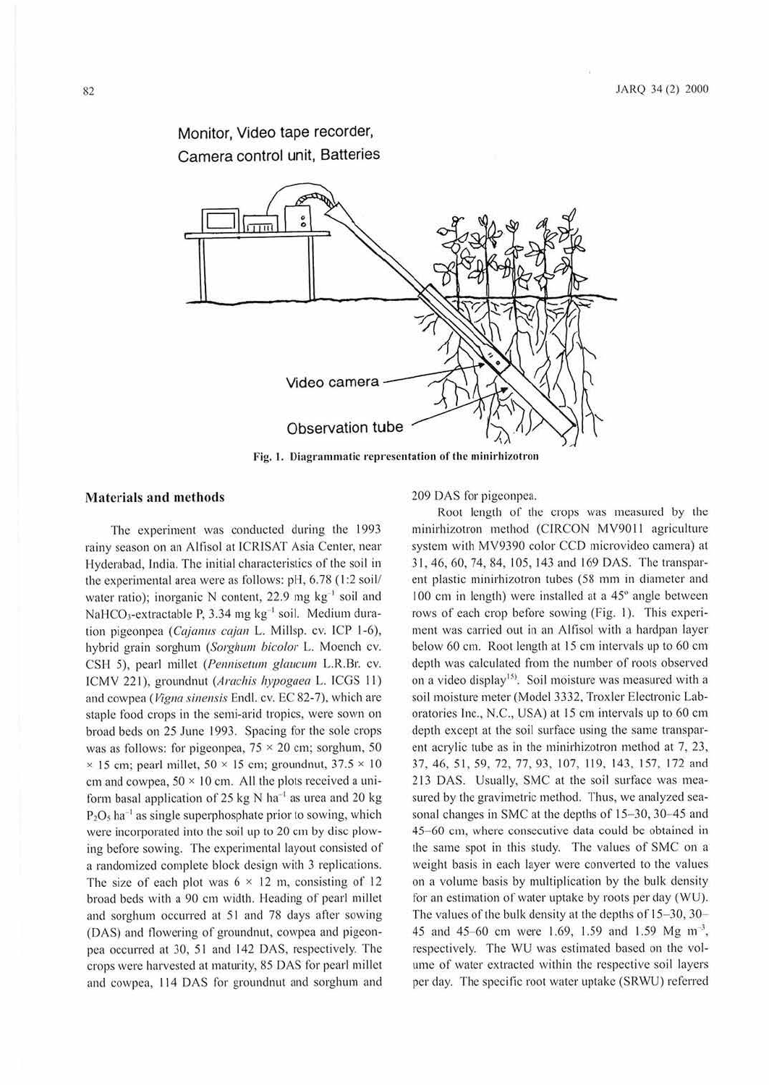## Monitor, Video tape recorder, Camera control unit, Batteries



#### **Materials and methods**

The experiment was conducted during the 1993 rainy season on an Allisol at ICRISAT Asia Center, near Hyderabad, India. The initial characteristics of the soil in the experimental area were as follows: pH, 6.78 (1:2 soil/ water ratio); inorganic N content,  $22.9 \text{ mg kg}^{-1}$  soil and NaHCO<sub>3</sub>-extractable P, 3.34 mg  $kg^{-1}$  soil. Medium duration pigeonpea (Cajanus cajan L. Millsp. cv. ICP 1-6), hybrid grain sorghum (Sorghum bicolor L. Moench cv. CSH 5), pearl millet (Pennisetum glaucum L.R.Br. cv. ICMV 221), groundnut (Arachis hypogaea L. ICGS 11) and cowpea (Vigna sinensis Endl. cv. EC 82-7), which are staple food crops in the semi-arid tropics, were sown on broad beds on 25 June 1993. Spacing for the sole crops was as follows: for pigeonpea,  $75 \times 20$  cm; sorghum, 50  $\times$  15 cm; pearl millet, 50  $\times$  15 cm; groundnut, 37.5  $\times$  10 cm and cowpea,  $50 \times 10$  cm. All the plots received a uniform basal application of 25 kg N ha<sup>-1</sup> as urea and 20 kg  $P_2O_5$  ha<sup>-1</sup> as single superphosphate prior to sowing, which were incorporated into the soil up to 20 cm by disc plowing before sowing. The experimental layout consisted of a randomized complete block design with 3 replications. The size of each plot was  $6 \times 12$  m, consisting of 12 broad beds with a 90 cm width. Heading of pearl millet and sorghum occurred at 51 and 78 days after sowing (DAS) and flowering of groundnut, cowpea and pigeonpea occurred at 30, 51 and 142 DAS, respectively. The crops were harvested at maturity, 85 DAS for pearl millet and cowpea, 114 DAS for groundnut and sorghum and

209 DAS for pigeonpca.

Root length of the crops was measured by the minirhizotron method (CIRCON MV9011 agriculture system with MV9390 color CCD microvideo camera) at 31, 46, 60, 74, 84, 105, 143 and 169 DAS. The transparent plastic minirhizotron tubes (58 mm in diameter and  $100$  cm in length) were installed at a  $45^\circ$  angle between rows of each crop before sowing (Fig. I). This experiment was carried out in an Allisol with a hardpan layer below 60 cm. Root length at 15 cm intervals up to 60 cm depth was calculated from the number of roots observed on a video display<sup>15</sup>. Soil moisture was measured with a soil moisture meter (Model 3332, Troxler Electronic Laboratories Inc., N.C., USA) at 15 cm intervals up to 60 cm depth except at the soil surface using the same transparent acrylic tube as in the minirhizotron method at 7, 23, 37, 46, 51 , *59,* 72, 77, 93, 107, I 19, 143, 157, 172 and 213 DAS. Usually, SMC ai the soil surface was measured by the gravimetric method. Thus, we analyzed seasonal changes in SMC at the depths of 15-30, 30-45 and 45- 60 cm, where consecutive data could be obtained in the same spot in this study. The values of SMC on a weight basis in each layer were converted to the values on a volume basis by multiplication by the bulk density for an estimation of water uptake by roots per day (WU). The values of the bulk density at the depths of 15-30, 30-45 and 45-60 cm were 1.69, 1.59 and 1.59 Mg m<sup>-3</sup>, respectively. The WU was estimated based on the volume of water extracted within the respective soil layers per day. The specific root water uptake (SRWU) referred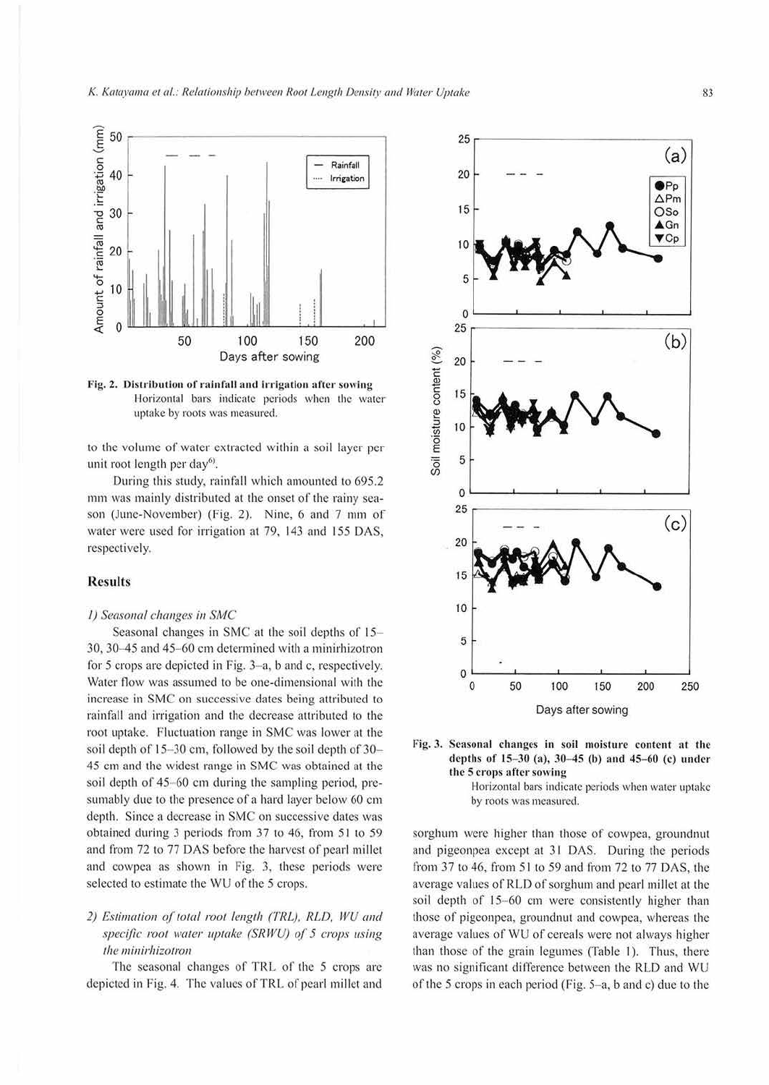

Fig. 2. Distribution of rainfall and irrigation after sowing Horizontal bars indicate periods when the water uptake by roots was measured.

to the volume of water extracted within a soil layer per unit root length per day<sup>6)</sup>.

During this study, rainfall which amounted to 695.2 mm was mainly distributed at the onset of the rainy season (June-November) (Fig. 2). Nine, 6 and 7 mm of water were used for irrigation at 79, 143 and 155 DAS, respectively.

#### **Results**

#### *I)* Seasonal changes in SMC

Seasonal changes in SMC at the soil depths of 15-30. 30-45 and 45- 60 cm determined with a minirhizotron for 5 crops are depicted in Fig. 3-a, b and c, respectively. Water flow was assumed to be one-dimensional with the increase in SMC on successive dates being attributed to rainfall and irrigation and the decrease attributed to the root uptake. Fluctuation range in SMC was lower at the soil depth of  $15-30$  cm, followed by the soil depth of  $30-$ 45 cm and the widest range in SMC was obiaincd at 1he soil depth of  $45-60$  cm during the sampling period, presumably due to the presence of a hard layer below 60 cm depth. Since a decrease in SMC on successive dates was obtained during 3 periods from 37 to 46, from 51 to 59 and from 72 to 77 DAS before the harvest of pearl millet and cowpea as shown in Fig. 3, these periods were selected to estimate the WU of the 5 crops.

## 2) Estimation of total root length (TRL), RLD, WU and *specific root water uptake (SRWU) of 5 crops using the minirhizotron*

The seasonal changes of TRL of the 5 crops are depicted in Fig. 4. The values of TRL of pearl millet and





Horizontal bars indicate periods when water uptake by roots was measured.

sorghum were higher than those of cowpea, groundnut and pigeonpea except at 31 DAS. During the periods from 37 to 46, from 51 to 59 and from 72 to 77 DAS, the average values of RLD of sorghum and pearl millet at the soil depth of 15-60 cm were consistently higher than those of pigeonpea, groundnut and cowpea, whereas the average values of WU of cereals were not always higher than those of the grain legumes (Table 1). Thus, there was no significant difference between the RLD and WU of the 5 crops in each period (Fig.  $5-a$ , b and c) due to the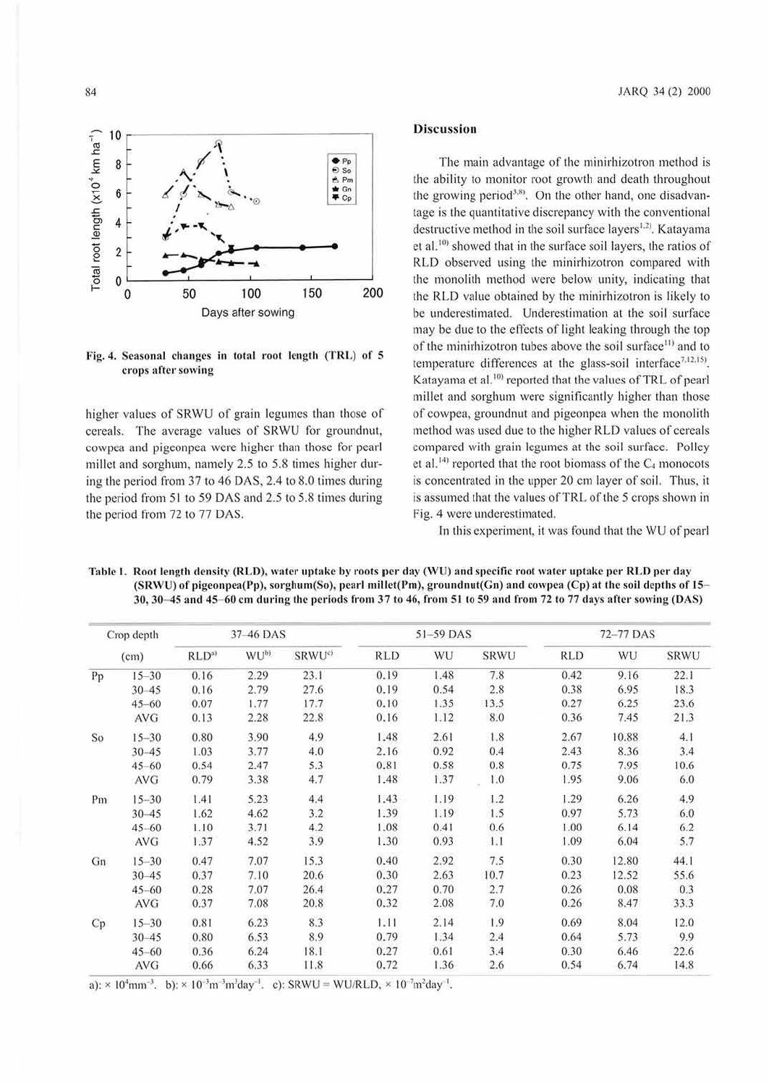

Fig. 4. Seasonal changes in total root length (TRL) of 5 crops after sowing

higher values of SRWU of grain legumes than those of cereals. The average values of SRWU for groundnut, cowpca and pigeonpea were higher than those for pearl millet and sorghum, namely 2.5 to 5.8 times higher during the period from 37 to 46 DAS. 2.4 to 8.0 times during the period from 51 to 59 DAS and 2.5 to 5.8 times during the period from 72 to 77 DAS.

#### **Discussion**

The main advantage of the minirhizotron method is the ability to monitor root growth and death throughout the growing period<sup>3,8)</sup>. On the other hand, one disadvantage is the quantitative discrepancy with the conventional destructive method in the soil surface layers<sup>1.2)</sup>. Katayama et al.<sup>10)</sup> showed that in the surface soil layers, the ratios of RLD observed using the minirhizotron compared with the monolith method were below unity, indicating that the RLD value obtained by the minirhizotron is likely to be underestimated. Underestimation at the soil surface may be due to the effects of light leaking through the top of the minirhizotron tubes above the soil surface<sup>11)</sup> and to temperature differences at the glass-soil interface<sup>7,12,15)</sup>. Katayama et al.<sup>10</sup> reported that the values of TRL of pearl millet and sorghum were significantly higher than those of cowpea, groundnut and pigeonpca when the monolith method was used due to the higher RLD values of cereals compared with grain legumes at the soil surface. Polley et al.<sup>14)</sup> reported that the root biomass of the  $C_4$  monocots is concentrated in the upper 20 cm layer of soil. Thus, it is assumed that the values ofTRL of the *5* crops shown in Fig. 4 were underestimated.

In this experiment, it was found that the WU of pearl

Table 1. Root length density (RLD), water uptake by roots per day (WU) and specific root water uptake per RLD per day (SRWU) of pigeonpea(Pp), sorghum(So), pearl millet(Pm), groundnut(Gn) and cowpea (Cp) at the soil depths of 15-30, 30-45 and 45-60 cm during the periods from 37 to 46, from 51 to 59 and from 72 to 77 days after sowing (DAS)

| Crop depth |            | 37-46 DAS        |                  |                    | 51-59 DAS |      |      | 72-77 DAS  |       |             |
|------------|------------|------------------|------------------|--------------------|-----------|------|------|------------|-------|-------------|
|            | (cm)       | RLD <sup>a</sup> | WU <sup>b)</sup> | SRWU <sup>c)</sup> | RLD       | WU   | SRWU | <b>RLD</b> | WU    | <b>SRWU</b> |
| Pp         | $15 - 30$  | 0.16             | 2.29             | 23.1               | 0.19      | 1.48 | 7.8  | 0.42       | 9.16  | 22.1        |
|            | $30 - 45$  | 0.16             | 2.79             | 27.6               | 0.19      | 0.54 | 2.8  | 0.38       | 6.95  | 18.3        |
|            | $45 - 60$  | 0.07             | 1.77             | 17.7               | 0.10      | 1.35 | 13.5 | 0.27       | 6.25  | 23.6        |
|            | <b>AVG</b> | 0.13             | 2.28             | 22.8               | 0.16      | 1.12 | 8.0  | 0.36       | 7.45  | 21.3        |
| So         | $15 - 30$  | 0.80             | 3.90             | 4.9                | 1.48      | 2.61 | 1.8  | 2.67       | 10.88 | 4.1         |
|            | $30 - 45$  | 1.03             | 3.77             | 4.0                | 2.16      | 0.92 | 0.4  | 2.43       | 8.36  | 3.4         |
|            | $45 - 60$  | 0.54             | 2.47             | 5.3                | 0.81      | 0.58 | 0.8  | 0.75       | 7.95  | 10.6        |
|            | <b>AVG</b> | 0.79             | 3.38             | 4.7                | 1.48      | 1.37 | 1.0  | 1.95       | 9.06  | 6.0         |
| Pm         | $15 - 30$  | 1.41             | 5.23             | 4.4                | 1.43      | 1.19 | 1.2  | 1.29       | 6.26  | 4.9         |
|            | $30 - 45$  | 1.62             | 4.62             | 3.2                | 1.39      | 1.19 | 1.5  | 0.97       | 5.73  | 6.0         |
|            | $45 - 60$  | 1.10             | 3.71             | 4.2                | 1.08      | 0.41 | 0.6  | 1.00       | 6.14  | 6.2         |
|            | <b>AVG</b> | 1.37             | 4.52             | 3.9                | 1.30      | 0.93 | 1.1  | 1.09       | 6.04  | 5.7         |
| Gn         | $15 - 30$  | 0.47             | 7.07             | 15.3               | 0.40      | 2.92 | 7.5  | 0.30       | 12.80 | 44.1        |
|            | $30 - 45$  | 0.37             | 7.10             | 20.6               | 0.30      | 2.63 | 10.7 | 0.23       | 12.52 | 55.6        |
|            | $45 - 60$  | 0.28             | 7.07             | 26.4               | 0.27      | 0.70 | 2.7  | 0.26       | 0.08  | 0.3         |
|            | <b>AVG</b> | 0.37             | 7.08             | 20.8               | 0.32      | 2.08 | 7.0  | 0.26       | 8.47  | 33.3        |
| Cp         | $15 - 30$  | 0.81             | 6.23             | 8.3                | 1.11      | 2.14 | 1.9  | 0.69       | 8.04  | 12.0        |
|            | 30 45      | 0.80             | 6.53             | 8.9                | 0.79      | 1.34 | 2.4  | 0.64       | 5.73  | 9.9         |
|            | $45 - 60$  | 0.36             | 6.24             | 18.1               | 0.27      | 0.61 | 3.4  | 0.30       | 6.46  | 22.6        |
|            | <b>AVG</b> | 0.66             | 6.33             | 11.8               | 0.72      | 1.36 | 2.6  | 0.54       | 6.74  | 14.8        |

a):  $\times$  10<sup>4</sup>mm<sup>-3</sup>. b):  $\times$  10<sup>-3</sup>m<sup>-3</sup>m<sup>3</sup>day<sup>-1</sup>. c): SRWU = WU/RLD,  $\times$  10<sup>-7</sup>m<sup>2</sup>day<sup>-1</sup>.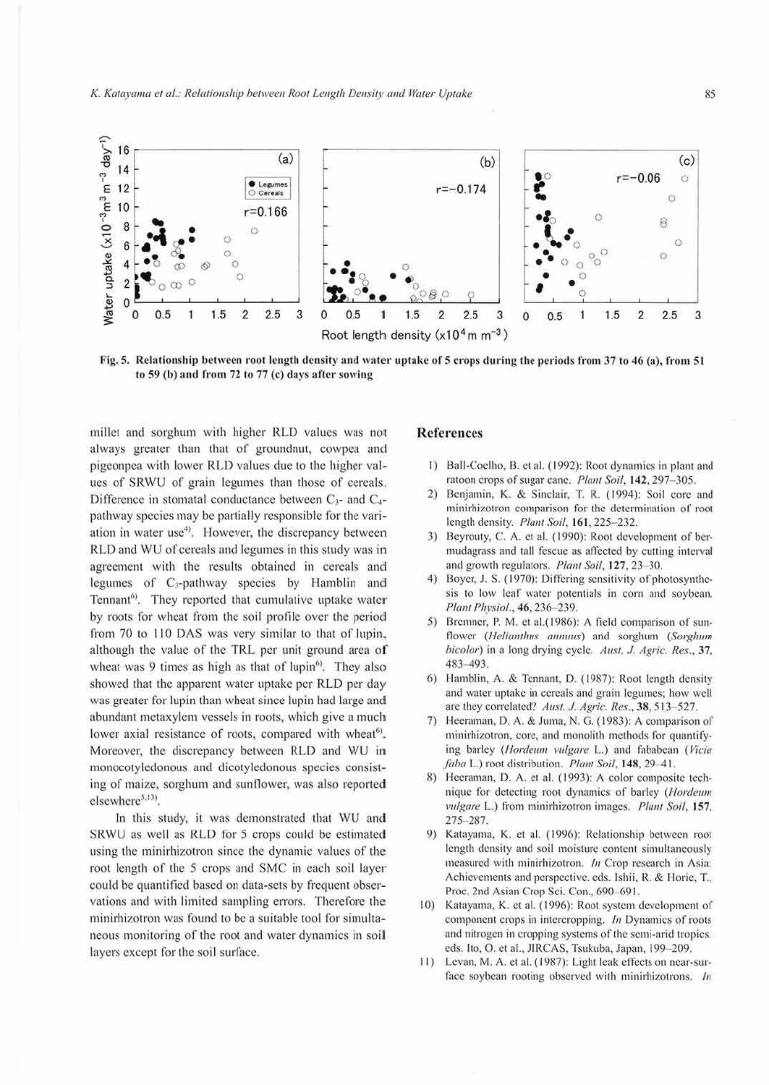

Fig. 5. Relationship between root length density and water uptake of 5 crops during the periods from 37 to 46 (a), from 51 to 59 (b) and from 72 to 77 (c) days after sowing

millet and sorghum with higher RLD values was not always greater than that of groundnut, cowpea and pigeonpea with lower RLD values due to the higher values of SRWU of grain legumes than those of cereals. Difference in stomatal conductance between C<sub>3</sub>- and C<sub>4</sub>pathway species may be partially responsible for the variation in water use<sup>4</sup>). However, the discrepancy between RLD and WU of cereals and legumes in this study was in agreement with the results obtained in cereals and legumes of C<sub>3</sub>-pathway species by Hamblin and Tennant<sup>6)</sup>. They reported that cumulative uptake water by roots for wheat from the soil profile over the period from 70 to 110 DAS was very similar to that of lupin, although the value of the TRL per unit ground area of wheat was 9 times as high as that of lupin<sup>6)</sup>. They also showed that the apparent water uptake per RLD per day was greater for lupin than wheat since lupin had large and abundant metaxylem vessels in roots, which give a much lower axial resistance of roots, compared with wheat<sup>6)</sup>. Moreover, the discrepancy between RLD and WU in monocotyledonous and dicotyledonous species consisting of maize, sorghum and sunflower, was also reported elsewhere<sup>5,13)</sup>.

In this study, it was demonstrated that WU and SRWU as well as RLD for 5 crops could be estimated using the minirhizotron since the dynamic values of the root length of the 5 crops and SMC in each soil layer could be quantified based on data-sets by frequent observations and with limited sampling errors. Therefore the minirhizotron was found to be a suitable tool for simultaneous monitoring of the root and water dynamics in soil layers except for the soil surface.

## **References**

- 1) Ball-Coelho, B. et al. (1992): Root dynamics in plant and ratoon crops of sugar cane. Plant Soil, 142, 297-305.
- $2)$ Benjamin, K. & Sinclair, T. R. (1994): Soil core and minirhizotron comparison for the determination of root length density. Plant Soil, 161, 225-232.
- $3)$ Beyrouty, C. A. et al. (1990): Root development of bermudagrass and tall fescue as affected by cutting interval and growth regulators. Plant Soil, 127, 23-30.
- Boyer, J. S. (1970): Differing sensitivity of photosynthe- $4)$ sis to low leaf water potentials in corn and soybean. Plant Physiol., 46, 236-239.
- Bremner, P. M. et al.(1986): A field comparison of sun-5) flower (*Helianthus annuus*) and sorghum (Sorghum bicolor) in a long drying cycle. Aust. J. Agric. Res., 37, 483-493.
- 6) Hamblin, A. & Tennant, D. (1987): Root length density and water uptake in cereals and grain legumes; how well are they correlated? Aust. J. Agric. Res., 38, 513-527.
- Heeraman, D. A. & Juma, N. G. (1983): A comparison of minirhizotron, core, and monolith methods for quantifying barley (Hordeum vulgare L.) and fababean (Vicia faba L.) root distribution. Plant Soil, 148, 29-41.
- 8) Heeraman, D. A. et al. (1993): A color composite technique for detecting root dynamics of barley (*Hordeum* vulgare L.) from minirhizotron images. Plant Soil, 157, 275-287.
- 9) Katayama, K. et al. (1996): Relationship between root length density and soil moisture content simultaneously measured with minirhizotron. In Crop research in Asia: Achievements and perspective, eds. Ishii, R. & Horie, T., Proc. 2nd Asian Crop Sci. Con., 690-691.
- 10) Katayama, K. et al. (1996): Root system development of component crops in intercropping. In Dynamics of roots and nitrogen in cropping systems of the semi-arid tropics. eds. Ito, O. et al., JIRCAS, Tsukuba, Japan, 199-209.
- 11) Levan, M. A. et al. (1987): Light leak effects on near-surface soybean rooting observed with minirhizotrons. In